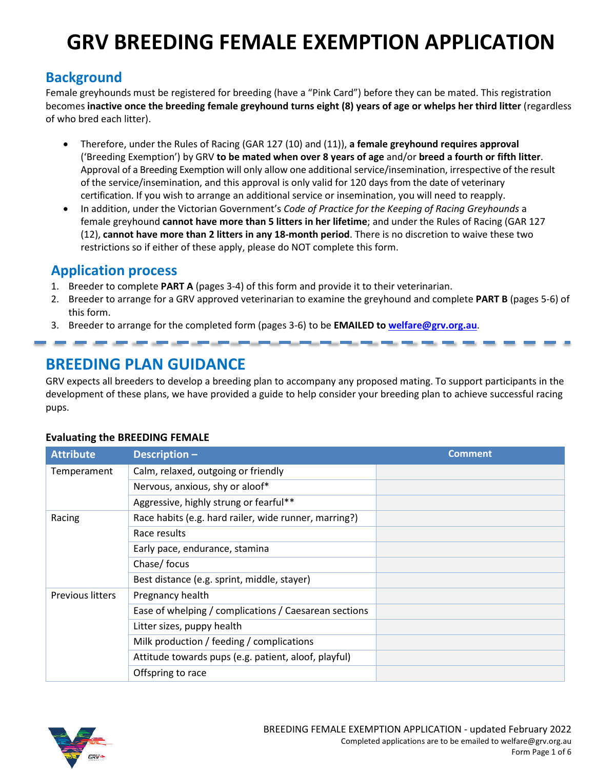# **GRV BREEDING FEMALE EXEMPTION APPLICATION**

# **Background**

Female greyhounds must be registered for breeding (have a "Pink Card") before they can be mated. This registration becomes **inactive once the breeding female greyhound turns eight (8) years of age or whelps her third litter** (regardless of who bred each litter).

- Therefore, under the Rules of Racing (GAR 127 (10) and (11)), **a female greyhound requires approval**  ('Breeding Exemption') by GRV **to be mated when over 8 years of age** and/or **breed a fourth or fifth litter**. Approval of a Breeding Exemption will only allow one additional service/insemination, irrespective of the result of the service/insemination, and this approval is only valid for 120 days from the date of veterinary certification. If you wish to arrange an additional service or insemination, you will need to reapply.
- In addition, under the Victorian Government's *Code of Practice for the Keeping of Racing Greyhounds* a female greyhound **cannot have more than 5 litters in her lifetime**; and under the Rules of Racing (GAR 127 (12), **cannot have more than 2 litters in any 18-month period**. There is no discretion to waive these two restrictions so if either of these apply, please do NOT complete this form.

## **Application process**

- 1. Breeder to complete **PART A** (pages 3-4) of this form and provide it to their veterinarian.
- 2. Breeder to arrange for a GRV approved veterinarian to examine the greyhound and complete **PART B** (pages 5-6) of this form.
- 3. Breeder to arrange for the completed form (pages 3-6) to be **EMAILED to welfare@grv.org.au**.

# **BREEDING PLAN GUIDANCE**

GRV expects all breeders to develop a breeding plan to accompany any proposed mating. To support participants in the development of these plans, we have provided a guide to help consider your breeding plan to achieve successful racing pups.

| <b>Attribute</b>        | Description-                                          | <b>Comment</b> |
|-------------------------|-------------------------------------------------------|----------------|
| Temperament             | Calm, relaxed, outgoing or friendly                   |                |
|                         | Nervous, anxious, shy or aloof*                       |                |
|                         | Aggressive, highly strung or fearful**                |                |
| Racing                  | Race habits (e.g. hard railer, wide runner, marring?) |                |
|                         | Race results                                          |                |
|                         | Early pace, endurance, stamina                        |                |
|                         | Chase/ focus                                          |                |
|                         | Best distance (e.g. sprint, middle, stayer)           |                |
| <b>Previous litters</b> | Pregnancy health                                      |                |
|                         | Ease of whelping / complications / Caesarean sections |                |
|                         | Litter sizes, puppy health                            |                |
|                         | Milk production / feeding / complications             |                |
|                         | Attitude towards pups (e.g. patient, aloof, playful)  |                |
|                         | Offspring to race                                     |                |

### **Evaluating the BREEDING FEMALE**

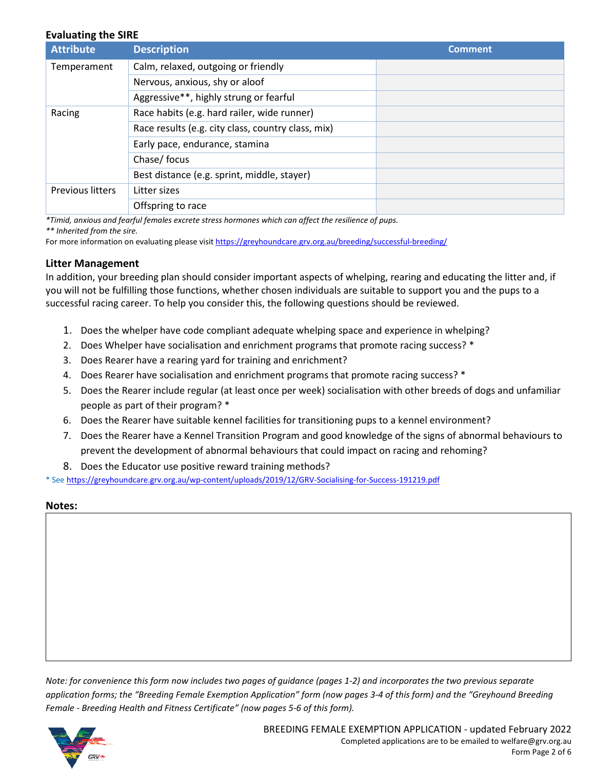#### **Evaluating the SIRE**

| <b>Attribute</b>        | <b>Description</b>                                 | <b>Comment</b> |
|-------------------------|----------------------------------------------------|----------------|
| Temperament             | Calm, relaxed, outgoing or friendly                |                |
|                         | Nervous, anxious, shy or aloof                     |                |
|                         | Aggressive**, highly strung or fearful             |                |
| Racing                  | Race habits (e.g. hard railer, wide runner)        |                |
|                         | Race results (e.g. city class, country class, mix) |                |
|                         | Early pace, endurance, stamina                     |                |
|                         | Chase/ focus                                       |                |
|                         | Best distance (e.g. sprint, middle, stayer)        |                |
| <b>Previous litters</b> | Litter sizes                                       |                |
|                         | Offspring to race                                  |                |

*\*Timid, anxious and fearful females excrete stress hormones which can affect the resilience of pups.*

*\*\* Inherited from the sire.* 

For more information on evaluating please visit https://greyhoundcare.grv.org.au/breeding/successful-breeding/

#### **Litter Management**

In addition, your breeding plan should consider important aspects of whelping, rearing and educating the litter and, if you will not be fulfilling those functions, whether chosen individuals are suitable to support you and the pups to a successful racing career. To help you consider this, the following questions should be reviewed.

- 1. Does the whelper have code compliant adequate whelping space and experience in whelping?
- 2. Does Whelper have socialisation and enrichment programs that promote racing success? \*
- 3. Does Rearer have a rearing yard for training and enrichment?
- 4. Does Rearer have socialisation and enrichment programs that promote racing success? \*
- 5. Does the Rearer include regular (at least once per week) socialisation with other breeds of dogs and unfamiliar people as part of their program? \*
- 6. Does the Rearer have suitable kennel facilities for transitioning pups to a kennel environment?
- 7. Does the Rearer have a Kennel Transition Program and good knowledge of the signs of abnormal behaviours to prevent the development of abnormal behaviours that could impact on racing and rehoming?
- 8. Does the Educator use positive reward training methods?

\* See https://greyhoundcare.grv.org.au/wp-content/uploads/2019/12/GRV-Socialising-for-Success-191219.pdf

#### **Notes:**

*Note: for convenience this form now includes two pages of guidance (pages 1-2) and incorporates the two previous separate application forms; the "Breeding Female Exemption Application" form (now pages 3-4 of this form) and the "Greyhound Breeding Female - Breeding Health and Fitness Certificate" (now pages 5-6 of this form).* 

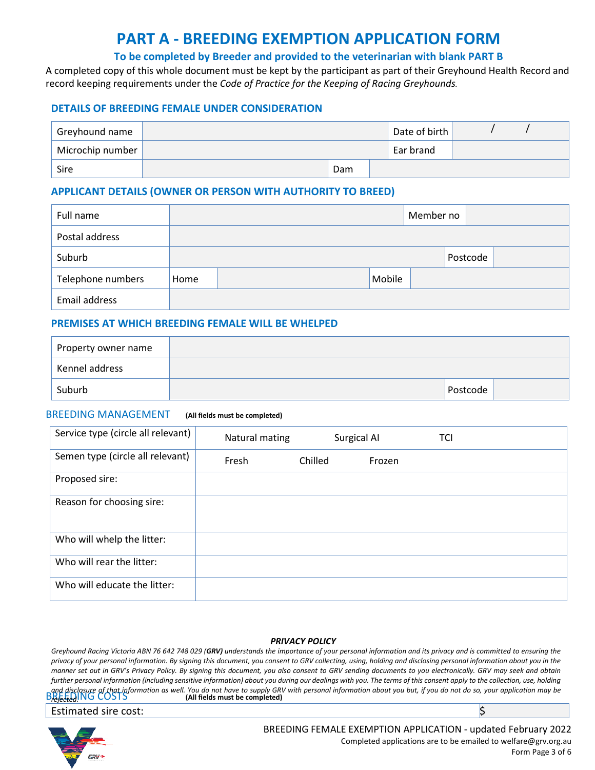# **PART A - BREEDING EXEMPTION APPLICATION FORM**

#### **To be completed by Breeder and provided to the veterinarian with blank PART B**

A completed copy of this whole document must be kept by the participant as part of their Greyhound Health Record and record keeping requirements under the *Code of Practice for the Keeping of Racing Greyhounds.* 

#### **DETAILS OF BREEDING FEMALE UNDER CONSIDERATION**

| Greyhound name   |     | Date of birth |  |  |
|------------------|-----|---------------|--|--|
| Microchip number |     | Ear brand     |  |  |
| Sire             | Dam |               |  |  |

#### **APPLICANT DETAILS (OWNER OR PERSON WITH AUTHORITY TO BREED)**

| Full name         |      |        | Member no |          |  |
|-------------------|------|--------|-----------|----------|--|
| Postal address    |      |        |           |          |  |
| Suburb            |      |        |           | Postcode |  |
| Telephone numbers | Home | Mobile |           |          |  |
| Email address     |      |        |           |          |  |

#### **PREMISES AT WHICH BREEDING FEMALE WILL BE WHELPED**

| Property owner name |          |  |
|---------------------|----------|--|
| Kennel address      |          |  |
| Suburb              | Postcode |  |

#### BREEDING MANAGEMENT **(All fields must be completed)**

| Service type (circle all relevant) | Natural mating |         | Surgical AI | TCI |
|------------------------------------|----------------|---------|-------------|-----|
| Semen type (circle all relevant)   | Fresh          | Chilled | Frozen      |     |
| Proposed sire:                     |                |         |             |     |
| Reason for choosing sire:          |                |         |             |     |
| Who will whelp the litter:         |                |         |             |     |
| Who will rear the litter:          |                |         |             |     |
| Who will educate the litter:       |                |         |             |     |

#### *PRIVACY POLICY*

and disclosure of that information as well. You do not have to supply GRV with personal information about you but, if you do not do so, your application may be<br>Breeted!NG COSTS (All fields must be completed) *Greyhound Racing Victoria ABN 76 642 748 029 (GRV) understands the importance of your personal information and its privacy and is committed to ensuring the privacy of your personal information. By signing this document, you consent to GRV collecting, using, holding and disclosing personal information about you in the manner set out in GRV's Privacy Policy. By signing this document, you also consent to GRV sending documents to you electronically. GRV may seek and obtain further personal information (including sensitive information) about you during our dealings with you. The terms of this consent apply to the collection, use, holding rejected.* 

Estimated sire cost: \$



BREEDING FEMALE EXEMPTION APPLICATION - updated February 2022 Completed applications are to be emailed to welfare@grv.org.au Form Page 3 of 6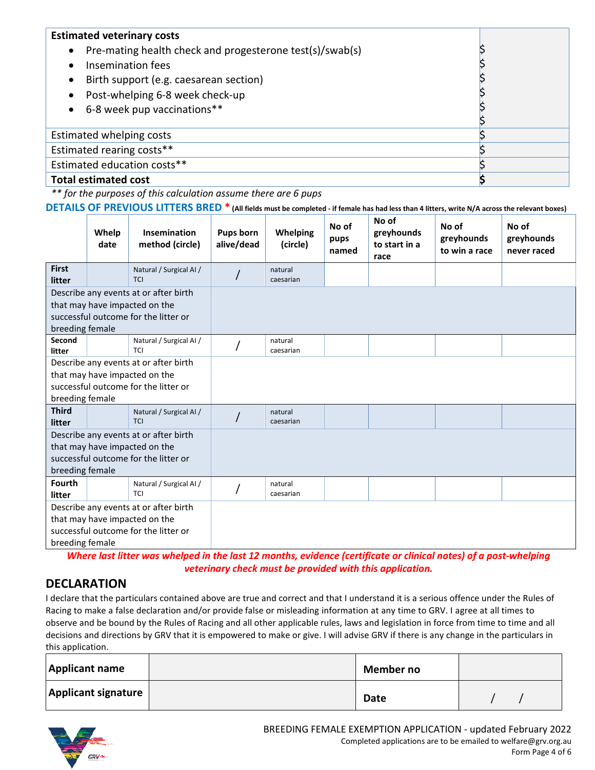| <b>Estimated veterinary costs</b><br>Pre-mating health check and progesterone test(s)/swab(s)<br>$\bullet$<br>Insemination fees<br>$\bullet$<br>Birth support (e.g. caesarean section)<br>$\bullet$<br>Post-whelping 6-8 week check-up<br>$\bullet$<br>6-8 week pup vaccinations**<br>$\bullet$ |  |
|-------------------------------------------------------------------------------------------------------------------------------------------------------------------------------------------------------------------------------------------------------------------------------------------------|--|
| Estimated whelping costs                                                                                                                                                                                                                                                                        |  |
| Estimated rearing costs**                                                                                                                                                                                                                                                                       |  |
| Estimated education costs**                                                                                                                                                                                                                                                                     |  |
| <b>Total estimated cost</b>                                                                                                                                                                                                                                                                     |  |

*\*\* for the purposes of this calculation assume there are 6 pups* 

**DETAILS OF PREVIOUS LITTERS BRED \* (All fields must be completed - if female has had less than 4 litters, write N/A across the relevant boxes)**

|                                                                                                                                   | Whelp<br>date | <b>Insemination</b><br>method (circle) | <b>Pups born</b><br>alive/dead | <b>Whelping</b><br>(circle) | No of<br>pups<br>named | No of<br>greyhounds<br>to start in a<br>race | No of<br>greyhounds<br>to win a race | No of<br>greyhounds<br>never raced |
|-----------------------------------------------------------------------------------------------------------------------------------|---------------|----------------------------------------|--------------------------------|-----------------------------|------------------------|----------------------------------------------|--------------------------------------|------------------------------------|
| <b>First</b><br>litter                                                                                                            |               | Natural / Surgical AI /<br><b>TCI</b>  |                                | natural<br>caesarian        |                        |                                              |                                      |                                    |
| Describe any events at or after birth<br>that may have impacted on the<br>successful outcome for the litter or<br>breeding female |               |                                        |                                |                             |                        |                                              |                                      |                                    |
| Second<br>litter                                                                                                                  |               | Natural / Surgical AI /<br><b>TCI</b>  |                                | natural<br>caesarian        |                        |                                              |                                      |                                    |
| Describe any events at or after birth<br>that may have impacted on the<br>successful outcome for the litter or<br>breeding female |               |                                        |                                |                             |                        |                                              |                                      |                                    |
| <b>Third</b><br>litter                                                                                                            |               | Natural / Surgical AI /<br><b>TCI</b>  |                                | natural<br>caesarian        |                        |                                              |                                      |                                    |
| Describe any events at or after birth<br>that may have impacted on the<br>successful outcome for the litter or<br>breeding female |               |                                        |                                |                             |                        |                                              |                                      |                                    |
| <b>Fourth</b><br>litter                                                                                                           |               | Natural / Surgical Al /<br><b>TCI</b>  |                                | natural<br>caesarian        |                        |                                              |                                      |                                    |
| Describe any events at or after birth<br>that may have impacted on the<br>successful outcome for the litter or<br>breeding female |               |                                        |                                |                             |                        |                                              |                                      |                                    |

*Where last litter was whelped in the last 12 months, evidence (certificate or clinical notes) of a post-whelping veterinary check must be provided with this application.* 

### **DECLARATION**

I declare that the particulars contained above are true and correct and that I understand it is a serious offence under the Rules of Racing to make a false declaration and/or provide false or misleading information at any time to GRV. I agree at all times to observe and be bound by the Rules of Racing and all other applicable rules, laws and legislation in force from time to time and all decisions and directions by GRV that it is empowered to make or give. I will advise GRV if there is any change in the particulars in this application.

| <b>Applicant name</b>      | Member no   |  |
|----------------------------|-------------|--|
| <b>Applicant signature</b> | <b>Date</b> |  |

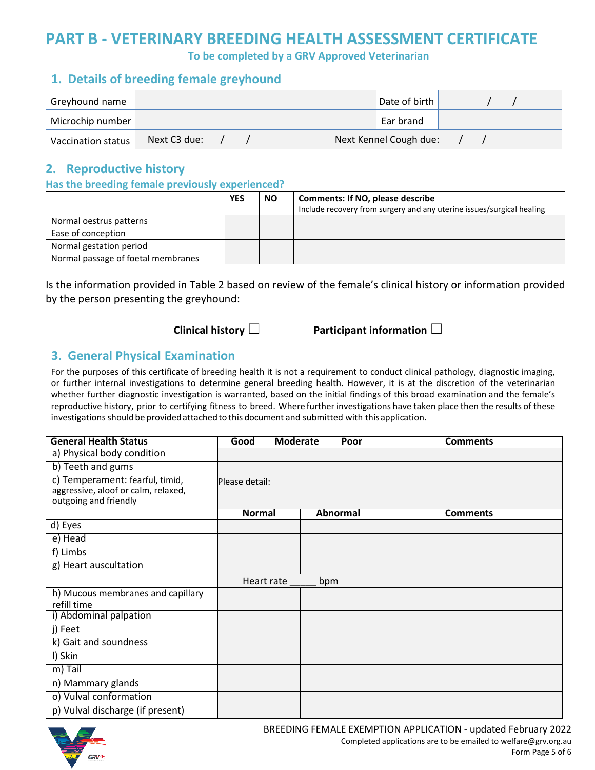# **PART B - VETERINARY BREEDING HEALTH ASSESSMENT CERTIFICATE**

**To be completed by a GRV Approved Veterinarian** 

### **1. Details of breeding female greyhound**

| Greyhound name     |              |  | Date of birth          |  |  |
|--------------------|--------------|--|------------------------|--|--|
| Microchip number   |              |  | Ear brand              |  |  |
| Vaccination status | Next C3 due: |  | Next Kennel Cough due: |  |  |

### **2. Reproductive history**

#### **Has the breeding female previously experienced?**

|                                    | <b>YES</b> | <b>NO</b> | <b>Comments: If NO, please describe</b><br>Include recovery from surgery and any uterine issues/surgical healing |
|------------------------------------|------------|-----------|------------------------------------------------------------------------------------------------------------------|
| Normal oestrus patterns            |            |           |                                                                                                                  |
| Ease of conception                 |            |           |                                                                                                                  |
| Normal gestation period            |            |           |                                                                                                                  |
| Normal passage of foetal membranes |            |           |                                                                                                                  |

Is the information provided in Table 2 based on review of the female's clinical history or information provided by the person presenting the greyhound:

**Clinical history** ☐ **Participant information** ☐

### **3. General Physical Examination**

For the purposes of this certificate of breeding health it is not a requirement to conduct clinical pathology, diagnostic imaging, or further internal investigations to determine general breeding health. However, it is at the discretion of the veterinarian whether further diagnostic investigation is warranted, based on the initial findings of this broad examination and the female's reproductive history, prior to certifying fitness to breed. Where further investigations have taken place then the results of these investigations should be provided attached to this document and submitted with this application.

| <b>General Health Status</b>                                                                    | Good           | <b>Moderate</b> | Poor     | <b>Comments</b> |
|-------------------------------------------------------------------------------------------------|----------------|-----------------|----------|-----------------|
| a) Physical body condition                                                                      |                |                 |          |                 |
| b) Teeth and gums                                                                               |                |                 |          |                 |
| c) Temperament: fearful, timid,<br>aggressive, aloof or calm, relaxed,<br>outgoing and friendly | Please detail: |                 |          |                 |
|                                                                                                 | <b>Normal</b>  |                 | Abnormal | <b>Comments</b> |
| d) Eyes                                                                                         |                |                 |          |                 |
| e) Head                                                                                         |                |                 |          |                 |
| f) Limbs                                                                                        |                |                 |          |                 |
| g) Heart auscultation                                                                           |                |                 |          |                 |
|                                                                                                 |                | Heart rate      | bpm      |                 |
| h) Mucous membranes and capillary<br>refill time                                                |                |                 |          |                 |
| i) Abdominal palpation                                                                          |                |                 |          |                 |
| j) Feet                                                                                         |                |                 |          |                 |
| k) Gait and soundness                                                                           |                |                 |          |                 |
| I) Skin                                                                                         |                |                 |          |                 |
| m) Tail                                                                                         |                |                 |          |                 |
| n) Mammary glands                                                                               |                |                 |          |                 |
| o) Vulval conformation                                                                          |                |                 |          |                 |
| p) Vulval discharge (if present)                                                                |                |                 |          |                 |